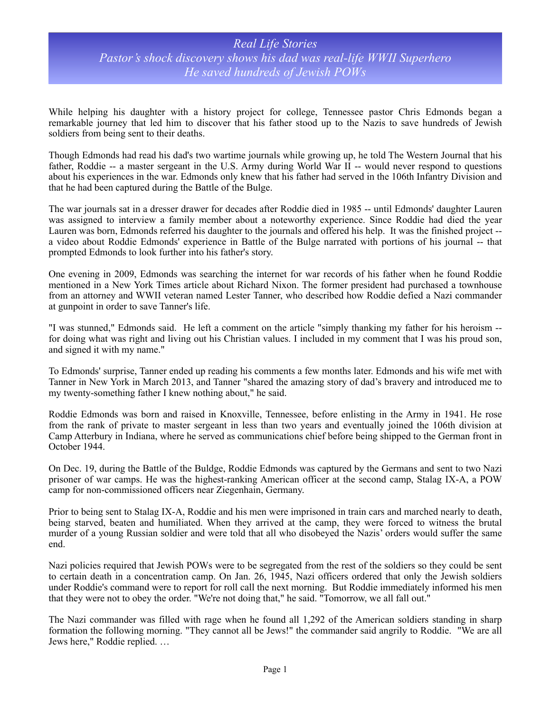## *Real Life Stories Pastor's shock discovery shows his dad was real-life WWII Superhero He saved hundreds of Jewish POWs*

While helping his daughter with a history project for college, Tennessee pastor Chris Edmonds began a remarkable journey that led him to discover that his father stood up to the Nazis to save hundreds of Jewish soldiers from being sent to their deaths.

Though Edmonds had read his dad's two wartime journals while growing up, he told The Western Journal that his father, Roddie -- a master sergeant in the U.S. Army during World War II -- would never respond to questions about his experiences in the war. Edmonds only knew that his father had served in the 106th Infantry Division and that he had been captured during the Battle of the Bulge.

The war journals sat in a dresser drawer for decades after Roddie died in 1985 -- until Edmonds' daughter Lauren was assigned to interview a family member about a noteworthy experience. Since Roddie had died the year Lauren was born, Edmonds referred his daughter to the journals and offered his help. It was the finished project - a video about Roddie Edmonds' experience in Battle of the Bulge narrated with portions of his journal -- that prompted Edmonds to look further into his father's story.

One evening in 2009, Edmonds was searching the internet for war records of his father when he found Roddie mentioned in a New York Times article about Richard Nixon. The former president had purchased a townhouse from an attorney and WWII veteran named Lester Tanner, who described how Roddie defied a Nazi commander at gunpoint in order to save Tanner's life.

"I was stunned," Edmonds said. He left a comment on the article "simply thanking my father for his heroism - for doing what was right and living out his Christian values. I included in my comment that I was his proud son, and signed it with my name."

To Edmonds' surprise, Tanner ended up reading his comments a few months later. Edmonds and his wife met with Tanner in New York in March 2013, and Tanner "shared the amazing story of dad's bravery and introduced me to my twenty-something father I knew nothing about," he said.

Roddie Edmonds was born and raised in Knoxville, Tennessee, before enlisting in the Army in 1941. He rose from the rank of private to master sergeant in less than two years and eventually joined the 106th division at Camp Atterbury in Indiana, where he served as communications chief before being shipped to the German front in October 1944.

On Dec. 19, during the Battle of the Buldge, Roddie Edmonds was captured by the Germans and sent to two Nazi prisoner of war camps. He was the highest-ranking American officer at the second camp, Stalag IX-A, a POW camp for non-commissioned officers near Ziegenhain, Germany.

Prior to being sent to Stalag IX-A, Roddie and his men were imprisoned in train cars and marched nearly to death, being starved, beaten and humiliated. When they arrived at the camp, they were forced to witness the brutal murder of a young Russian soldier and were told that all who disobeyed the Nazis' orders would suffer the same end.

Nazi policies required that Jewish POWs were to be segregated from the rest of the soldiers so they could be sent to certain death in a concentration camp. On Jan. 26, 1945, Nazi officers ordered that only the Jewish soldiers under Roddie's command were to report for roll call the next morning. But Roddie immediately informed his men that they were not to obey the order. "We're not doing that," he said. "Tomorrow, we all fall out."

The Nazi commander was filled with rage when he found all 1,292 of the American soldiers standing in sharp formation the following morning. "They cannot all be Jews!" the commander said angrily to Roddie. "We are all Jews here," Roddie replied. …